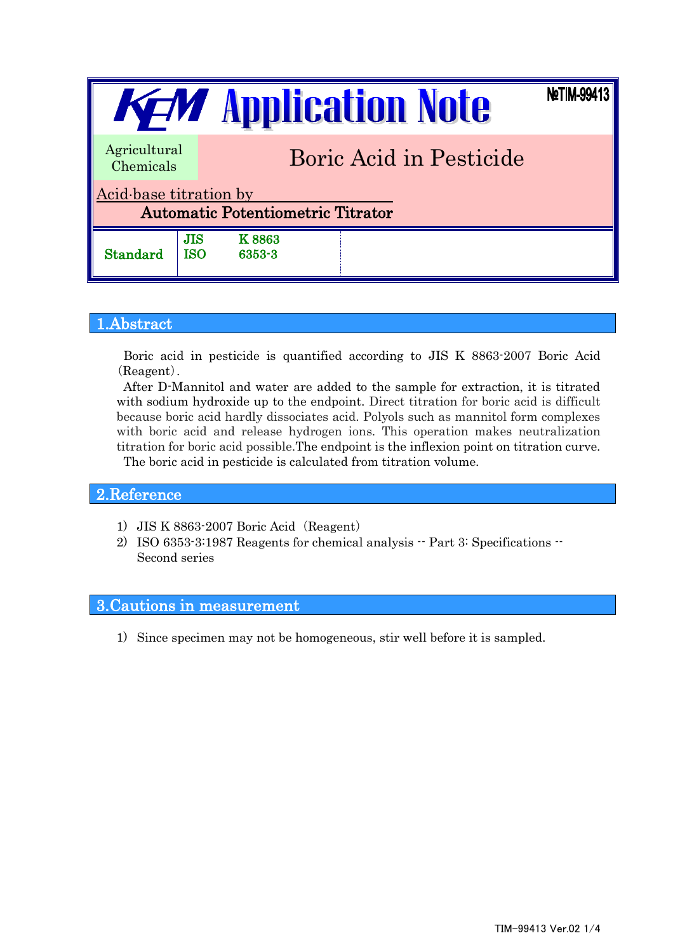| NetIM-99413<br><b>KEM</b> Application Note                         |            |                                |  |  |  |  |  |
|--------------------------------------------------------------------|------------|--------------------------------|--|--|--|--|--|
| Agricultural<br>Chemicals                                          |            | <b>Boric Acid in Pesticide</b> |  |  |  |  |  |
| Acid base titration by<br><b>Automatic Potentiometric Titrator</b> |            |                                |  |  |  |  |  |
| Standard                                                           | JIS<br>ISO | <b>K8863</b><br>6353-3         |  |  |  |  |  |

# 1.Abstract

Boric acid in pesticide is quantified according to JIS K 8863-2007 Boric Acid (Reagent).

After D-Mannitol and water are added to the sample for extraction, it is titrated with sodium hydroxide up to the endpoint. Direct titration for boric acid is difficult because boric acid hardly dissociates acid. Polyols such as mannitol form complexes with boric acid and release hydrogen ions. This operation makes neutralization titration for boric acid possible.The endpoint is the inflexion point on titration curve. The boric acid in pesticide is calculated from titration volume.

### 2.Reference

- 1) JIS K 8863-2007 Boric Acid (Reagent)
- 2) ISO 6353-3:1987 Reagents for chemical analysis -- Part 3: Specifications -- Second series

# 3.Cautions in measurement

1) Since specimen may not be homogeneous, stir well before it is sampled.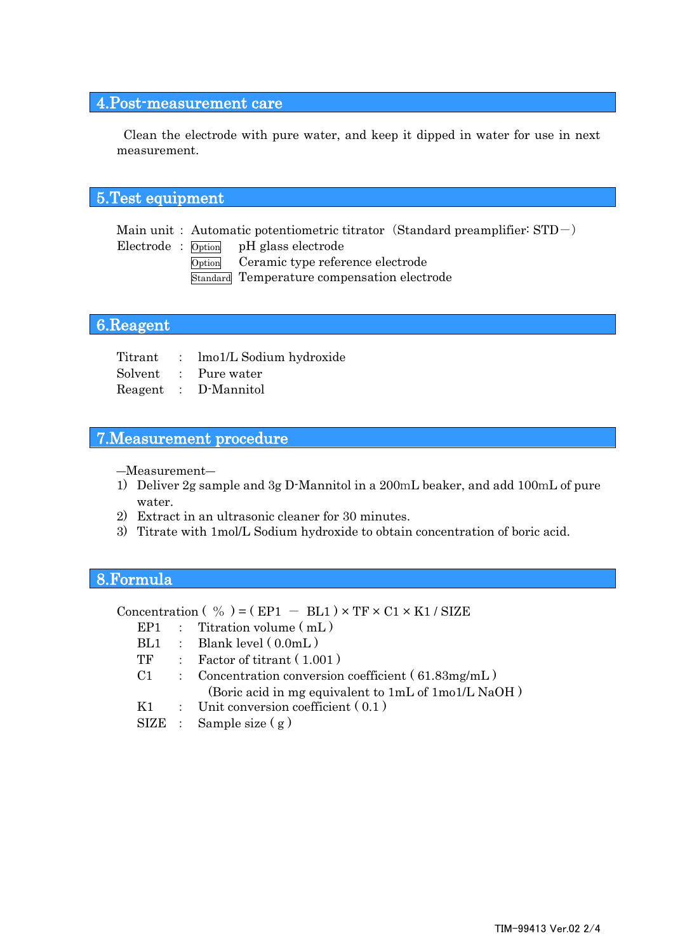# 4.Post-measurement care

Clean the electrode with pure water, and keep it dipped in water for use in next measurement.

# 5.Test equipment

Main unit : Automatic potentiometric titrator (Standard preamplifier:  $STD-$ )

Electrode : Option pH glass electrode

Option Ceramic type reference electrode

Standard Temperature compensation electrode

# 6.Reagent

Titrant : lmo1/L Sodium hydroxide Solvent : Pure water Reagent : D-Mannitol

#### 7.Measurement procedure

―Measurement―

- 1) Deliver 2g sample and 3g D-Mannitol in a 200mL beaker, and add 100mL of pure water.
- 2) Extract in an ultrasonic cleaner for 30 minutes.
- 3) Titrate with 1mol/L Sodium hydroxide to obtain concentration of boric acid.

#### 8.Formula

Concentration (  $\%$  ) = ( EP1 - BL1 ) × TF × C1 × K1 / SIZE

- EP1 : Titration volume  $(mL)$
- $BL1$  : Blank level  $(0.0mL)$
- TF : Factor of titrant ( 1.001 )
- C1 : Concentration conversion coefficient ( 61.83mg/mL ) (Boric acid in mg equivalent to 1mL of 1mo1/L NaOH )
- K1 : Unit conversion coefficient  $(0.1)$
- $SIZE$  : Sample size  $(g)$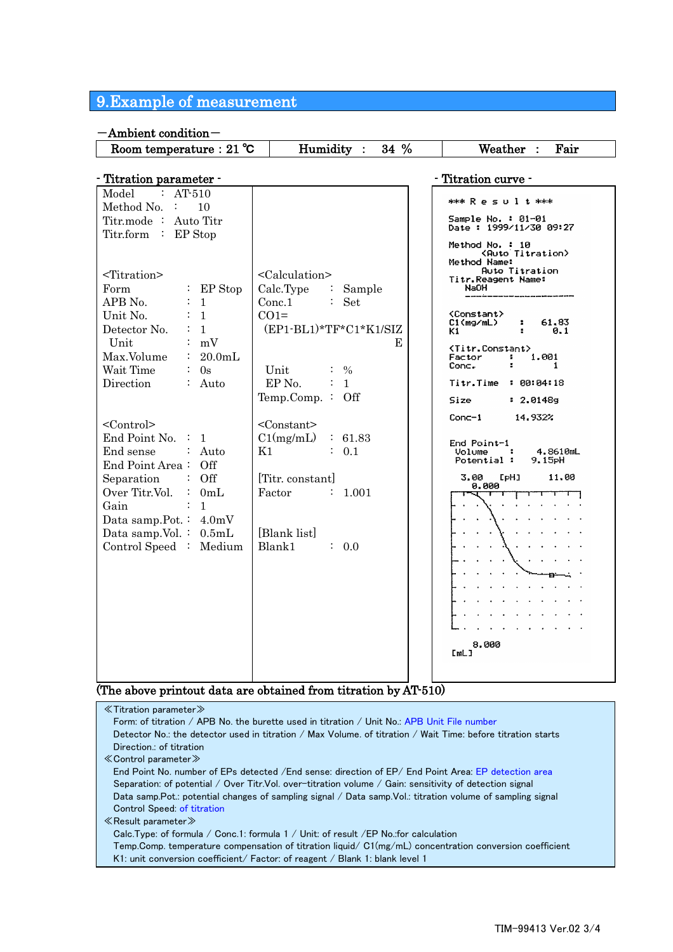# 9.Example of measurement

#### -Ambient condition- Room temperature:  $21 \degree C$  Humidity :  $34 \%$  Weather : Fair - Titration parameter -  $\blacksquare$ Model : AT-510 \*\*\* Result \*\*\* Method No. : 10 Sample No. : 01-01<br>Date : 1999/11/30 09:27 Titr.mode : Auto Titr Titr.form : EP Stop Method No. : 10<br>(Auto Titration)<br>Method Name:<br>Auto Titration <Titration> <Calculation> Titr.Reagent Name: Form : EP Stop Calc.Type : Sample NaOH APB No.  $\qquad \qquad : 1$ <br>
Unit No.  $\qquad \qquad : 1$ Conc.1 : Set Unit No. : 1<br>Detector No. : 1  $CO1=$ <Constant> C1(mg/mL)<br>K1 61,83  $\bullet$ (EP1-BL1)\*TF\*C1\*K1/SIZ Detector No.  $0.1$ Unit : mV E <Titr.Constant> Max.Volume : 20.0mL 1.001 Factor  $\frac{1}{2}$ Conc. Unit : %  $\mathbf{1}$ Wait Time : 0s EP No.  $\qquad \qquad : 1$ Direction : Auto Titr.Time : 00:04:18 Temp.Comp. : Off Size  $: 2.01489$ 14.932%  $Conc-1$ <Control> <Constant> End Point No. : 1  $C1(mg/mL)$  : 61.83 End Point-1 End sense : Auto  $K1$  : 0.1 ŧ 4.8610mL Volume :<br>Potential :  $9.15$ <sup>pH</sup> End Point Area : Off 3.00  $L<sub>PHJ</sub>$ 11.00 Separation : Off [Titr. constant] 0.000 Over Titr.Vol. : 0mL<br>Gain : 1 Factor : 1.001 T ᠇ Ł Gain Data samp.Pot.: 4.0mV Data samp.Vol. : 0.5mL [Blank list] Control Speed : Medium Blank1 : 0.0  $\sim$  $\mathbf{L}$ 8.000 [mL]

#### (The above printout data are obtained from titration by AT-510)

| $\ll$ Titration parameter $\gg$                                                                              |
|--------------------------------------------------------------------------------------------------------------|
| Form: of titration / APB No. the burette used in titration / Unit No.: APB Unit File number                  |
| Detector No.: the detector used in titration / Max Volume, of titration / Wait Time: before titration starts |
| Direction.: of titration                                                                                     |
| $\ll$ Control parameter $\gg$                                                                                |
| End Point No. number of EPs detected / End sense: direction of EP/ End Point Area: EP detection area         |
| Separation: of potential / Over Titr.Vol. over-titration volume / Gain: sensitivity of detection signal      |
| Data samp. Pot.: potential changes of sampling signal / Data samp. Vol.: titration volume of sampling signal |
| Control Speed: of titration                                                                                  |
| $\ll$ Result parameter $\gg$                                                                                 |
| Calc. Type: of formula / Conc. 1: formula $1/$ Unit: of result /EP No. for calculation                       |
| Temp.Comp. temperature compensation of titration liquid/ $CI(mg/mL)$ concentration conversion coefficient    |
| K1: unit conversion coefficient/ Factor: of reagent / Blank 1: blank level 1                                 |